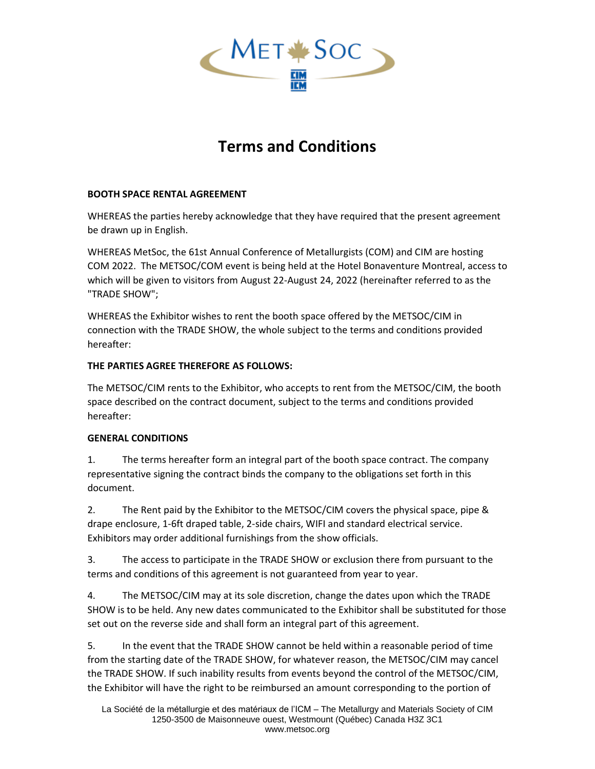

## **Terms and Conditions**

## **BOOTH SPACE RENTAL AGREEMENT**

WHEREAS the parties hereby acknowledge that they have required that the present agreement be drawn up in English.

WHEREAS MetSoc, the 61st Annual Conference of Metallurgists (COM) and CIM are hosting COM 2022. The METSOC/COM event is being held at the Hotel Bonaventure Montreal, access to which will be given to visitors from August 22-August 24, 2022 (hereinafter referred to as the "TRADE SHOW";

WHEREAS the Exhibitor wishes to rent the booth space offered by the METSOC/CIM in connection with the TRADE SHOW, the whole subject to the terms and conditions provided hereafter:

## **THE PARTIES AGREE THEREFORE AS FOLLOWS:**

The METSOC/CIM rents to the Exhibitor, who accepts to rent from the METSOC/CIM, the booth space described on the contract document, subject to the terms and conditions provided hereafter:

## **GENERAL CONDITIONS**

1. The terms hereafter form an integral part of the booth space contract. The company representative signing the contract binds the company to the obligations set forth in this document.

2. The Rent paid by the Exhibitor to the METSOC/CIM covers the physical space, pipe & drape enclosure, 1-6ft draped table, 2-side chairs, WIFI and standard electrical service. Exhibitors may order additional furnishings from the show officials.

3. The access to participate in the TRADE SHOW or exclusion there from pursuant to the terms and conditions of this agreement is not guaranteed from year to year.

4. The METSOC/CIM may at its sole discretion, change the dates upon which the TRADE SHOW is to be held. Any new dates communicated to the Exhibitor shall be substituted for those set out on the reverse side and shall form an integral part of this agreement.

5. In the event that the TRADE SHOW cannot be held within a reasonable period of time from the starting date of the TRADE SHOW, for whatever reason, the METSOC/CIM may cancel the TRADE SHOW. If such inability results from events beyond the control of the METSOC/CIM, the Exhibitor will have the right to be reimbursed an amount corresponding to the portion of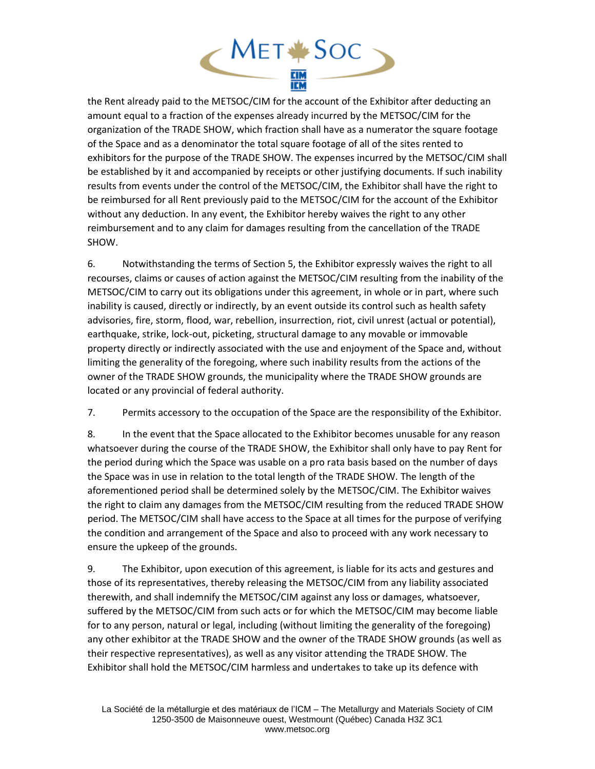

the Rent already paid to the METSOC/CIM for the account of the Exhibitor after deducting an amount equal to a fraction of the expenses already incurred by the METSOC/CIM for the organization of the TRADE SHOW, which fraction shall have as a numerator the square footage of the Space and as a denominator the total square footage of all of the sites rented to exhibitors for the purpose of the TRADE SHOW. The expenses incurred by the METSOC/CIM shall be established by it and accompanied by receipts or other justifying documents. If such inability results from events under the control of the METSOC/CIM, the Exhibitor shall have the right to be reimbursed for all Rent previously paid to the METSOC/CIM for the account of the Exhibitor without any deduction. In any event, the Exhibitor hereby waives the right to any other reimbursement and to any claim for damages resulting from the cancellation of the TRADE SHOW.

6. Notwithstanding the terms of Section 5, the Exhibitor expressly waives the right to all recourses, claims or causes of action against the METSOC/CIM resulting from the inability of the METSOC/CIM to carry out its obligations under this agreement, in whole or in part, where such inability is caused, directly or indirectly, by an event outside its control such as health safety advisories, fire, storm, flood, war, rebellion, insurrection, riot, civil unrest (actual or potential), earthquake, strike, lock-out, picketing, structural damage to any movable or immovable property directly or indirectly associated with the use and enjoyment of the Space and, without limiting the generality of the foregoing, where such inability results from the actions of the owner of the TRADE SHOW grounds, the municipality where the TRADE SHOW grounds are located or any provincial of federal authority.

7. Permits accessory to the occupation of the Space are the responsibility of the Exhibitor.

8. In the event that the Space allocated to the Exhibitor becomes unusable for any reason whatsoever during the course of the TRADE SHOW, the Exhibitor shall only have to pay Rent for the period during which the Space was usable on a pro rata basis based on the number of days the Space was in use in relation to the total length of the TRADE SHOW. The length of the aforementioned period shall be determined solely by the METSOC/CIM. The Exhibitor waives the right to claim any damages from the METSOC/CIM resulting from the reduced TRADE SHOW period. The METSOC/CIM shall have access to the Space at all times for the purpose of verifying the condition and arrangement of the Space and also to proceed with any work necessary to ensure the upkeep of the grounds.

9. The Exhibitor, upon execution of this agreement, is liable for its acts and gestures and those of its representatives, thereby releasing the METSOC/CIM from any liability associated therewith, and shall indemnify the METSOC/CIM against any loss or damages, whatsoever, suffered by the METSOC/CIM from such acts or for which the METSOC/CIM may become liable for to any person, natural or legal, including (without limiting the generality of the foregoing) any other exhibitor at the TRADE SHOW and the owner of the TRADE SHOW grounds (as well as their respective representatives), as well as any visitor attending the TRADE SHOW. The Exhibitor shall hold the METSOC/CIM harmless and undertakes to take up its defence with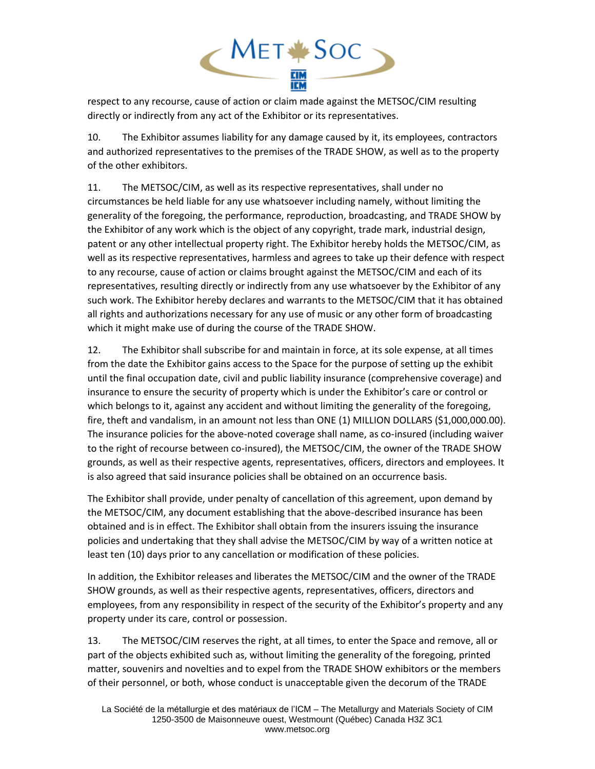

respect to any recourse, cause of action or claim made against the METSOC/CIM resulting directly or indirectly from any act of the Exhibitor or its representatives.

10. The Exhibitor assumes liability for any damage caused by it, its employees, contractors and authorized representatives to the premises of the TRADE SHOW, as well as to the property of the other exhibitors.

11. The METSOC/CIM, as well as its respective representatives, shall under no circumstances be held liable for any use whatsoever including namely, without limiting the generality of the foregoing, the performance, reproduction, broadcasting, and TRADE SHOW by the Exhibitor of any work which is the object of any copyright, trade mark, industrial design, patent or any other intellectual property right. The Exhibitor hereby holds the METSOC/CIM, as well as its respective representatives, harmless and agrees to take up their defence with respect to any recourse, cause of action or claims brought against the METSOC/CIM and each of its representatives, resulting directly or indirectly from any use whatsoever by the Exhibitor of any such work. The Exhibitor hereby declares and warrants to the METSOC/CIM that it has obtained all rights and authorizations necessary for any use of music or any other form of broadcasting which it might make use of during the course of the TRADE SHOW.

12. The Exhibitor shall subscribe for and maintain in force, at its sole expense, at all times from the date the Exhibitor gains access to the Space for the purpose of setting up the exhibit until the final occupation date, civil and public liability insurance (comprehensive coverage) and insurance to ensure the security of property which is under the Exhibitor's care or control or which belongs to it, against any accident and without limiting the generality of the foregoing, fire, theft and vandalism, in an amount not less than ONE (1) MILLION DOLLARS (\$1,000,000.00). The insurance policies for the above-noted coverage shall name, as co-insured (including waiver to the right of recourse between co-insured), the METSOC/CIM, the owner of the TRADE SHOW grounds, as well as their respective agents, representatives, officers, directors and employees. It is also agreed that said insurance policies shall be obtained on an occurrence basis.

The Exhibitor shall provide, under penalty of cancellation of this agreement, upon demand by the METSOC/CIM, any document establishing that the above-described insurance has been obtained and is in effect. The Exhibitor shall obtain from the insurers issuing the insurance policies and undertaking that they shall advise the METSOC/CIM by way of a written notice at least ten (10) days prior to any cancellation or modification of these policies.

In addition, the Exhibitor releases and liberates the METSOC/CIM and the owner of the TRADE SHOW grounds, as well as their respective agents, representatives, officers, directors and employees, from any responsibility in respect of the security of the Exhibitor's property and any property under its care, control or possession.

13. The METSOC/CIM reserves the right, at all times, to enter the Space and remove, all or part of the objects exhibited such as, without limiting the generality of the foregoing, printed matter, souvenirs and novelties and to expel from the TRADE SHOW exhibitors or the members of their personnel, or both, whose conduct is unacceptable given the decorum of the TRADE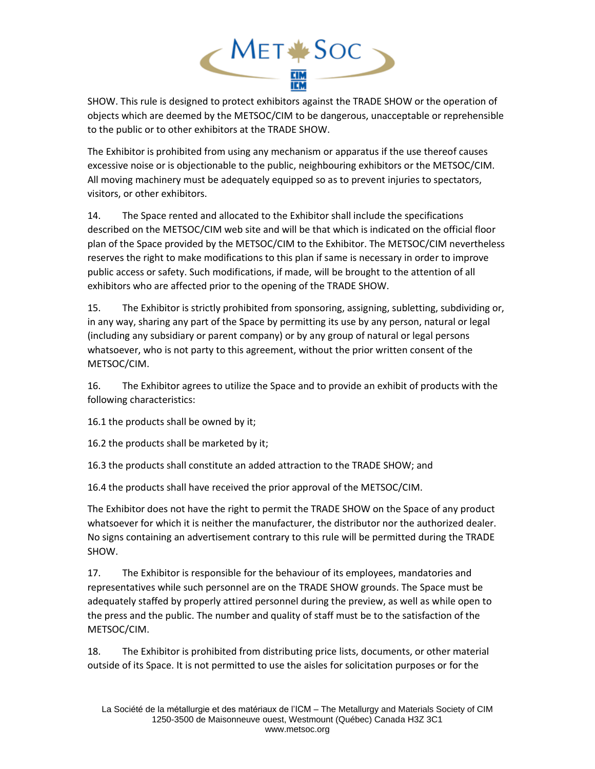

SHOW. This rule is designed to protect exhibitors against the TRADE SHOW or the operation of objects which are deemed by the METSOC/CIM to be dangerous, unacceptable or reprehensible to the public or to other exhibitors at the TRADE SHOW.

The Exhibitor is prohibited from using any mechanism or apparatus if the use thereof causes excessive noise or is objectionable to the public, neighbouring exhibitors or the METSOC/CIM. All moving machinery must be adequately equipped so as to prevent injuries to spectators, visitors, or other exhibitors.

14. The Space rented and allocated to the Exhibitor shall include the specifications described on the METSOC/CIM web site and will be that which is indicated on the official floor plan of the Space provided by the METSOC/CIM to the Exhibitor. The METSOC/CIM nevertheless reserves the right to make modifications to this plan if same is necessary in order to improve public access or safety. Such modifications, if made, will be brought to the attention of all exhibitors who are affected prior to the opening of the TRADE SHOW.

15. The Exhibitor is strictly prohibited from sponsoring, assigning, subletting, subdividing or, in any way, sharing any part of the Space by permitting its use by any person, natural or legal (including any subsidiary or parent company) or by any group of natural or legal persons whatsoever, who is not party to this agreement, without the prior written consent of the METSOC/CIM.

16. The Exhibitor agrees to utilize the Space and to provide an exhibit of products with the following characteristics:

16.1 the products shall be owned by it;

16.2 the products shall be marketed by it;

16.3 the products shall constitute an added attraction to the TRADE SHOW; and

16.4 the products shall have received the prior approval of the METSOC/CIM.

The Exhibitor does not have the right to permit the TRADE SHOW on the Space of any product whatsoever for which it is neither the manufacturer, the distributor nor the authorized dealer. No signs containing an advertisement contrary to this rule will be permitted during the TRADE SHOW.

17. The Exhibitor is responsible for the behaviour of its employees, mandatories and representatives while such personnel are on the TRADE SHOW grounds. The Space must be adequately staffed by properly attired personnel during the preview, as well as while open to the press and the public. The number and quality of staff must be to the satisfaction of the METSOC/CIM.

18. The Exhibitor is prohibited from distributing price lists, documents, or other material outside of its Space. It is not permitted to use the aisles for solicitation purposes or for the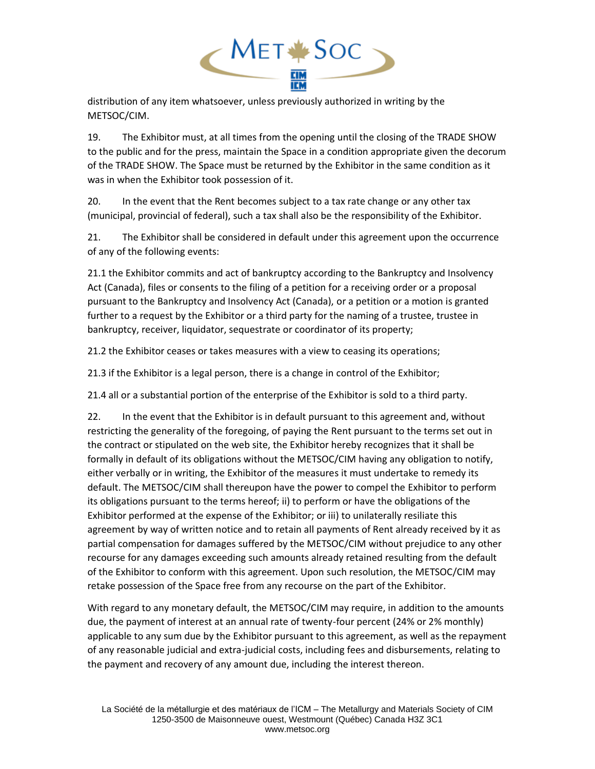

distribution of any item whatsoever, unless previously authorized in writing by the METSOC/CIM.

19. The Exhibitor must, at all times from the opening until the closing of the TRADE SHOW to the public and for the press, maintain the Space in a condition appropriate given the decorum of the TRADE SHOW. The Space must be returned by the Exhibitor in the same condition as it was in when the Exhibitor took possession of it.

20. In the event that the Rent becomes subject to a tax rate change or any other tax (municipal, provincial of federal), such a tax shall also be the responsibility of the Exhibitor.

21. The Exhibitor shall be considered in default under this agreement upon the occurrence of any of the following events:

21.1 the Exhibitor commits and act of bankruptcy according to the Bankruptcy and Insolvency Act (Canada), files or consents to the filing of a petition for a receiving order or a proposal pursuant to the Bankruptcy and Insolvency Act (Canada), or a petition or a motion is granted further to a request by the Exhibitor or a third party for the naming of a trustee, trustee in bankruptcy, receiver, liquidator, sequestrate or coordinator of its property;

21.2 the Exhibitor ceases or takes measures with a view to ceasing its operations;

21.3 if the Exhibitor is a legal person, there is a change in control of the Exhibitor;

21.4 all or a substantial portion of the enterprise of the Exhibitor is sold to a third party.

22. In the event that the Exhibitor is in default pursuant to this agreement and, without restricting the generality of the foregoing, of paying the Rent pursuant to the terms set out in the contract or stipulated on the web site, the Exhibitor hereby recognizes that it shall be formally in default of its obligations without the METSOC/CIM having any obligation to notify, either verbally or in writing, the Exhibitor of the measures it must undertake to remedy its default. The METSOC/CIM shall thereupon have the power to compel the Exhibitor to perform its obligations pursuant to the terms hereof; ii) to perform or have the obligations of the Exhibitor performed at the expense of the Exhibitor; or iii) to unilaterally resiliate this agreement by way of written notice and to retain all payments of Rent already received by it as partial compensation for damages suffered by the METSOC/CIM without prejudice to any other recourse for any damages exceeding such amounts already retained resulting from the default of the Exhibitor to conform with this agreement. Upon such resolution, the METSOC/CIM may retake possession of the Space free from any recourse on the part of the Exhibitor.

With regard to any monetary default, the METSOC/CIM may require, in addition to the amounts due, the payment of interest at an annual rate of twenty-four percent (24% or 2% monthly) applicable to any sum due by the Exhibitor pursuant to this agreement, as well as the repayment of any reasonable judicial and extra-judicial costs, including fees and disbursements, relating to the payment and recovery of any amount due, including the interest thereon.